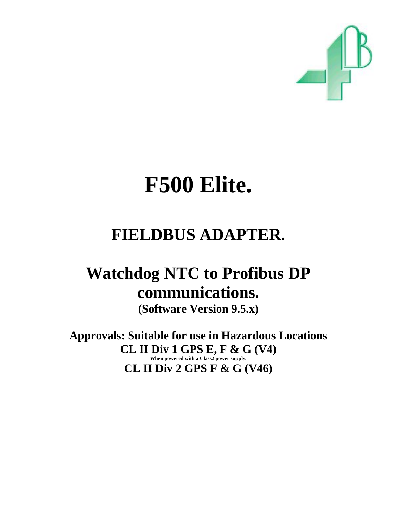

# **F500 Elite.**

## **FIELDBUS ADAPTER.**

## **Watchdog NTC to Profibus DP communications.**

**(Software Version 9.5.x)** 

**Approvals: Suitable for use in Hazardous Locations CL II Div 1 GPS E, F & G (V4) When powered with a Class2 power supply. CL II Div 2 GPS F & G (V46)**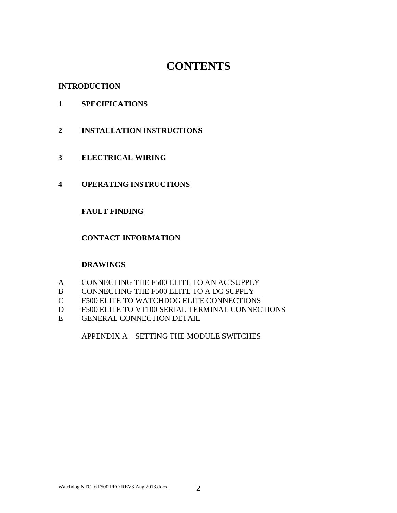## **CONTENTS**

#### **INTRODUCTION**

- **1 SPECIFICATIONS**
- **2 INSTALLATION INSTRUCTIONS**
- **3 ELECTRICAL WIRING**
- **4 OPERATING INSTRUCTIONS**

#### **FAULT FINDING**

#### **CONTACT INFORMATION**

#### **DRAWINGS**

- A CONNECTING THE F500 ELITE TO AN AC SUPPLY
- B CONNECTING THE F500 ELITE TO A DC SUPPLY
- C F500 ELITE TO WATCHDOG ELITE CONNECTIONS
- D F500 ELITE TO VT100 SERIAL TERMINAL CONNECTIONS
- E GENERAL CONNECTION DETAIL

APPENDIX A – SETTING THE MODULE SWITCHES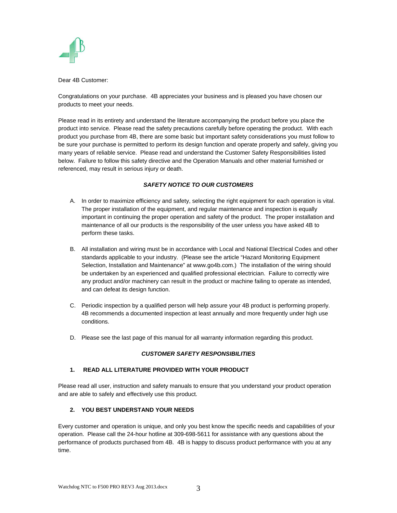

Dear 4B Customer:

Congratulations on your purchase. 4B appreciates your business and is pleased you have chosen our products to meet your needs.

Please read in its entirety and understand the literature accompanying the product before you place the product into service. Please read the safety precautions carefully before operating the product. With each product you purchase from 4B, there are some basic but important safety considerations you must follow to be sure your purchase is permitted to perform its design function and operate properly and safely, giving you many years of reliable service. Please read and understand the Customer Safety Responsibilities listed below. Failure to follow this safety directive and the Operation Manuals and other material furnished or referenced, may result in serious injury or death.

#### *SAFETY NOTICE TO OUR CUSTOMERS*

- A. In order to maximize efficiency and safety, selecting the right equipment for each operation is vital. The proper installation of the equipment, and regular maintenance and inspection is equally important in continuing the proper operation and safety of the product. The proper installation and maintenance of all our products is the responsibility of the user unless you have asked 4B to perform these tasks.
- B. All installation and wiring must be in accordance with Local and National Electrical Codes and other standards applicable to your industry. (Please see the article "Hazard Monitoring Equipment Selection, Installation and Maintenance" at www.go4b.com.) The installation of the wiring should be undertaken by an experienced and qualified professional electrician. Failure to correctly wire any product and/or machinery can result in the product or machine failing to operate as intended, and can defeat its design function.
- C. Periodic inspection by a qualified person will help assure your 4B product is performing properly. 4B recommends a documented inspection at least annually and more frequently under high use conditions.
- D. Please see the last page of this manual for all warranty information regarding this product.

#### *CUSTOMER SAFETY RESPONSIBILITIES*

#### **1. READ ALL LITERATURE PROVIDED WITH YOUR PRODUCT**

Please read all user, instruction and safety manuals to ensure that you understand your product operation and are able to safely and effectively use this product.

#### **2. YOU BEST UNDERSTAND YOUR NEEDS**

Every customer and operation is unique, and only you best know the specific needs and capabilities of your operation. Please call the 24-hour hotline at 309-698-5611 for assistance with any questions about the performance of products purchased from 4B. 4B is happy to discuss product performance with you at any time.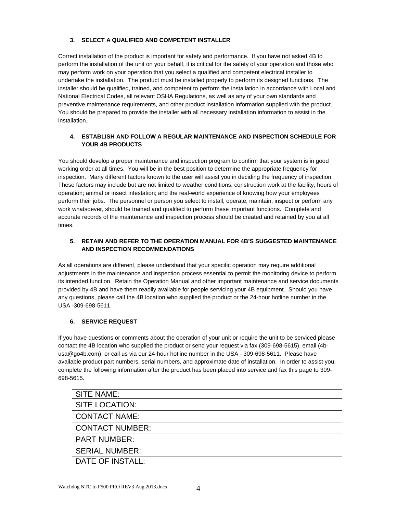#### **3. SELECT A QUALIFIED AND COMPETENT INSTALLER**

Correct installation of the product is important for safety and performance. If you have not asked 4B to perform the installation of the unit on your behalf, it is critical for the safety of your operation and those who may perform work on your operation that you select a qualified and competent electrical installer to undertake the installation. The product must be installed properly to perform its designed functions. The installer should be qualified, trained, and competent to perform the installation in accordance with Local and National Electrical Codes, all relevant OSHA Regulations, as well as any of your own standards and preventive maintenance requirements, and other product installation information supplied with the product. You should be prepared to provide the installer with all necessary installation information to assist in the installation.

#### **4. ESTABLISH AND FOLLOW A REGULAR MAINTENANCE AND INSPECTION SCHEDULE FOR YOUR 4B PRODUCTS**

You should develop a proper maintenance and inspection program to confirm that your system is in good working order at all times. You will be in the best position to determine the appropriate frequency for inspection. Many different factors known to the user will assist you in deciding the frequency of inspection. These factors may include but are not limited to weather conditions; construction work at the facility; hours of operation; animal or insect infestation; and the real-world experience of knowing how your employees perform their jobs. The personnel or person you select to install, operate, maintain, inspect or perform any work whatsoever, should be trained and qualified to perform these important functions. Complete and accurate records of the maintenance and inspection process should be created and retained by you at all times.

#### **5. RETAIN AND REFER TO THE OPERATION MANUAL FOR 4B'S SUGGESTED MAINTENANCE AND INSPECTION RECOMMENDATIONS**

As all operations are different, please understand that your specific operation may require additional adjustments in the maintenance and inspection process essential to permit the monitoring device to perform its intended function. Retain the Operation Manual and other important maintenance and service documents provided by 4B and have them readily available for people servicing your 4B equipment. Should you have any questions, please call the 4B location who supplied the product or the 24-hour hotline number in the USA -309-698-5611.

#### **6. SERVICE REQUEST**

If you have questions or comments about the operation of your unit or require the unit to be serviced please contact the 4B location who supplied the product or send your request via fax (309-698-5615), email (4busa@go4b.com), or call us via our 24-hour hotline number in the USA - 309-698-5611. Please have available product part numbers, serial numbers, and approximate date of installation. In order to assist you, complete the following information after the product has been placed into service and fax this page to 309- 698-5615.

| <b>SITE NAME:</b>      |
|------------------------|
| <b>SITE LOCATION:</b>  |
| <b>CONTACT NAME:</b>   |
| <b>CONTACT NUMBER:</b> |
| <b>PART NUMBER:</b>    |
| <b>SERIAL NUMBER:</b>  |
| DATE OF INSTALL:       |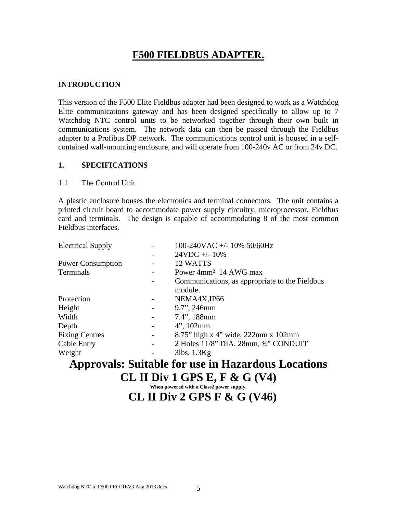## **F500 FIELDBUS ADAPTER.**

#### **INTRODUCTION**

This version of the F500 Elite Fieldbus adapter had been designed to work as a Watchdog Elite communications gateway and has been designed specifically to allow up to 7 Watchdog NTC control units to be networked together through their own built in communications system. The network data can then be passed through the Fieldbus adapter to a Profibus DP network. The communications control unit is housed in a selfcontained wall-mounting enclosure, and will operate from 100-240v AC or from 24v DC.

#### **1. SPECIFICATIONS**

#### 1.1 The Control Unit

A plastic enclosure houses the electronics and terminal connectors. The unit contains a printed circuit board to accommodate power supply circuitry, microprocessor, Fieldbus card and terminals. The design is capable of accommodating 8 of the most common Fieldbus interfaces.

| <b>Electrical Supply</b> |                          | 100-240VAC +/- 10% 50/60Hz                     |
|--------------------------|--------------------------|------------------------------------------------|
|                          |                          | $24VDC + -10%$                                 |
| <b>Power Consumption</b> |                          | 12 WATTS                                       |
| Terminals                |                          | Power 4mm <sup>2</sup> 14 AWG max              |
|                          |                          | Communications, as appropriate to the Fieldbus |
|                          |                          | module.                                        |
| Protection               |                          | NEMA4X, IP66                                   |
| Height                   | $\overline{\phantom{a}}$ | 9.7", 246mm                                    |
| Width                    | -                        | 7.4", 188mm                                    |
| Depth                    | $\overline{\phantom{a}}$ | $4$ ", 102mm                                   |
| <b>Fixing Centres</b>    | $\overline{\phantom{a}}$ | 8.75" high x 4" wide, 222mm x 102mm            |
| Cable Entry              | -                        | 2 Holes 11/8" DIA, 28mm, 3/4" CONDUIT          |
| Weight                   |                          | $3$ lbs, $1.3$ Kg                              |

## **Approvals: Suitable for use in Hazardous Locations CL II Div 1 GPS E, F & G (V4)**

**When powered with a Class2 power supply.** 

### **CL II Div 2 GPS F & G (V46)**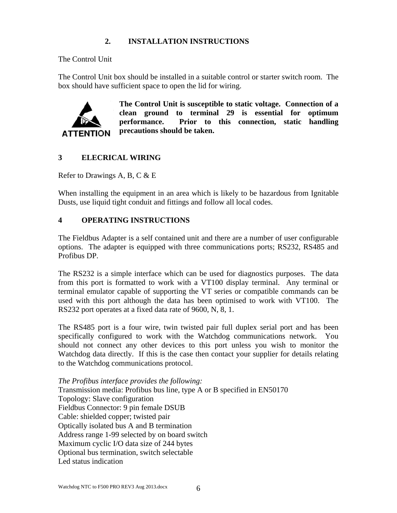#### **2. INSTALLATION INSTRUCTIONS**

The Control Unit

The Control Unit box should be installed in a suitable control or starter switch room. The box should have sufficient space to open the lid for wiring.



**The Control Unit is susceptible to static voltage. Connection of a clean ground to terminal 29 is essential for optimum performance. Prior to this connection, static handling precautions should be taken.** 

#### **3 ELECRICAL WIRING**

Refer to Drawings A, B, C  $&E$ 

When installing the equipment in an area which is likely to be hazardous from Ignitable Dusts, use liquid tight conduit and fittings and follow all local codes.

#### **4 OPERATING INSTRUCTIONS**

The Fieldbus Adapter is a self contained unit and there are a number of user configurable options. The adapter is equipped with three communications ports; RS232, RS485 and Profibus DP.

The RS232 is a simple interface which can be used for diagnostics purposes. The data from this port is formatted to work with a VT100 display terminal. Any terminal or terminal emulator capable of supporting the VT series or compatible commands can be used with this port although the data has been optimised to work with VT100. The RS232 port operates at a fixed data rate of 9600, N, 8, 1.

The RS485 port is a four wire, twin twisted pair full duplex serial port and has been specifically configured to work with the Watchdog communications network. You should not connect any other devices to this port unless you wish to monitor the Watchdog data directly. If this is the case then contact your supplier for details relating to the Watchdog communications protocol.

*The Profibus interface provides the following:*  Transmission media: Profibus bus line, type A or B specified in EN50170 Topology: Slave configuration Fieldbus Connector: 9 pin female DSUB Cable: shielded copper; twisted pair Optically isolated bus A and B termination Address range 1-99 selected by on board switch Maximum cyclic I/O data size of 244 bytes Optional bus termination, switch selectable Led status indication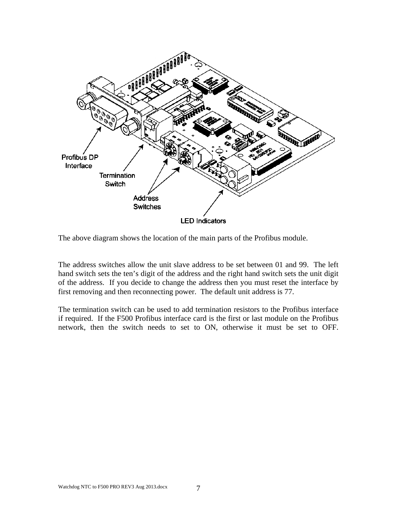

The above diagram shows the location of the main parts of the Profibus module.

The address switches allow the unit slave address to be set between 01 and 99. The left hand switch sets the ten's digit of the address and the right hand switch sets the unit digit of the address. If you decide to change the address then you must reset the interface by first removing and then reconnecting power. The default unit address is 77.

The termination switch can be used to add termination resistors to the Profibus interface if required. If the F500 Profibus interface card is the first or last module on the Profibus network, then the switch needs to set to ON, otherwise it must be set to OFF.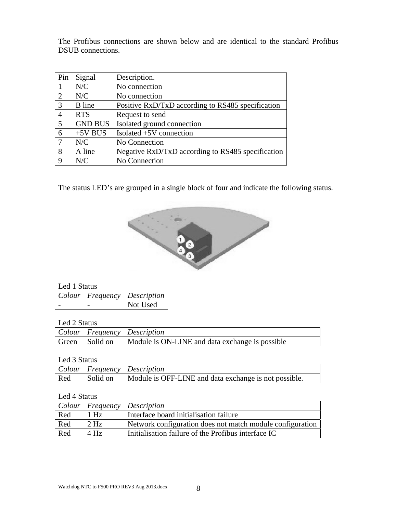The Profibus connections are shown below and are identical to the standard Profibus DSUB connections.

| Pin            | Signal         | Description.                                      |
|----------------|----------------|---------------------------------------------------|
|                | N/C            | No connection                                     |
| $\overline{2}$ | N/C            | No connection                                     |
| 3              | <b>B</b> line  | Positive RxD/TxD according to RS485 specification |
| 4              | <b>RTS</b>     | Request to send                                   |
| 5              | <b>GND BUS</b> | Isolated ground connection                        |
| 6              | $+5V$ BUS      | Isolated +5V connection                           |
| 7              | N/C            | No Connection                                     |
| 8              | A line         | Negative RxD/TxD according to RS485 specification |
| 9              | N/C            | No Connection                                     |

The status LED's are grouped in a single block of four and indicate the following status.



#### Led 1 Status

|  | $ $ Colour   Frequency   Description |
|--|--------------------------------------|
|  | Not Used                             |

#### Led 2 Status

|  | $\vert$ Colour $\vert$ Frequency $\vert$ Description               |
|--|--------------------------------------------------------------------|
|  | Green   Solid on   Module is ON-LINE and data exchange is possible |

#### Led 3 Status

|     | Colour   Frequency   Description                                 |
|-----|------------------------------------------------------------------|
| Red | Solid on   Module is OFF-LINE and data exchange is not possible. |

#### Led 4 Status

|     |        | Colour   Frequency   Description                          |
|-----|--------|-----------------------------------------------------------|
| Red | $1$ Hz | Interface board initialisation failure                    |
| Red | $2$ Hz | Network configuration does not match module configuration |
| Red | $4$ Hz | Initialisation failure of the Profibus interface IC       |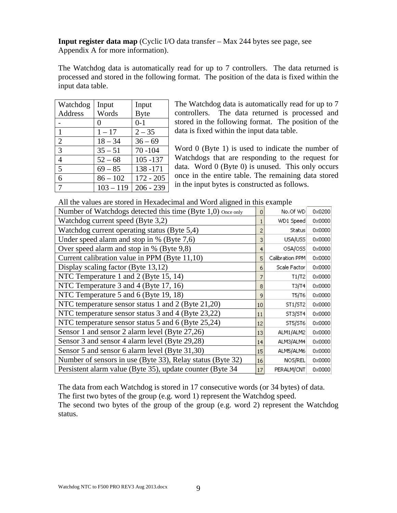**Input register data map** (Cyclic I/O data transfer – Max 244 bytes see page, see Appendix A for more information).

The Watchdog data is automatically read for up to 7 controllers. The data returned is processed and stored in the following format. The position of the data is fixed within the input data table.

| Watchdog       | Input             | Input       |
|----------------|-------------------|-------------|
| Address        | Words             | <b>Byte</b> |
|                | $\mathbf{\Omega}$ | $0 - 1$     |
| $\mathbf{1}$   | $1 - 17$          | $2 - 35$    |
| $\overline{2}$ | $18 - 34$         | $36 - 69$   |
| 3              | $35 - 51$         | $70 - 104$  |
| 4              | $52 - 68$         | $105 - 137$ |
| 5              | $69 - 85$         | 138-171     |
| 6              | $86 - 102$        | $172 - 205$ |
| 7              | $103 - 119$       | $206 - 239$ |

The Watchdog data is automatically read for up to 7 controllers. The data returned is processed and stored in the following format. The position of the data is fixed within the input data table.

Word 0 (Byte 1) is used to indicate the number of Watchdogs that are responding to the request for data. Word 0 (Byte 0) is unused. This only occurs once in the entire table. The remaining data stored in the input bytes is constructed as follows.

All the values are stored in Hexadecimal and Word aligned in this example

| Number of Watchdogs detected this time (Byte 1,0) once only | 0  | No.Of WD        | 0x0200          |
|-------------------------------------------------------------|----|-----------------|-----------------|
| Watchdog current speed (Byte 3,2)                           |    | WD1 Speed       | 0x0000          |
| Watchdog current operating status (Byte 5,4)                | 2  | <b>Status</b>   | $0 \times 0000$ |
| Under speed alarm and stop in $%$ (Byte 7,6)                | 3  | USA/USS         | $0 \times 0000$ |
| Over speed alarm and stop in % (Byte 9,8)                   | 4  | OSA/OSS         | 0x0000          |
| Current calibration value in PPM (Byte 11,10)               | 5  | Calibration PPM | $0 \times 0000$ |
| Display scaling factor (Byte 13,12)                         | 6  | Scale Factor    | $0 \times 0000$ |
| NTC Temperature 1 and 2 (Byte 15, 14)                       | 7  | T1/T2           | 0x0000          |
| NTC Temperature 3 and 4 (Byte 17, 16)                       | 8  | T3/T4           | $0 \times 0000$ |
| NTC Temperature 5 and 6 (Byte 19, 18)                       | 9  | T5/T6           | $0 \times 0000$ |
| NTC temperature sensor status 1 and 2 (Byte 21,20)          | 10 | ST1/ST2         | $0 \times 0000$ |
| NTC temperature sensor status 3 and 4 (Byte 23,22)          | 11 | ST3/ST4         | $0 \times 0000$ |
| NTC temperature sensor status 5 and 6 (Byte 25,24)          | 12 | ST5/ST6         | $0 \times 0000$ |
| Sensor 1 and sensor 2 alarm level (Byte 27,26)              | 13 | ALM1/ALM2       | 0x0000          |
| Sensor 3 and sensor 4 alarm level (Byte 29,28)              | 14 | ALM3/ALM4       | $0 \times 0000$ |
| Sensor 5 and sensor 6 alarm level (Byte 31,30)              | 15 | ALM5/ALM6       | 0x0000          |
| Number of sensors in use (Byte 33), Relay status (Byte 32)  | 16 | NOS/REL         | 0x0000          |
| Persistent alarm value (Byte 35), update counter (Byte 34)  | 17 | PERALM/CNT      | $0 \times 0000$ |
|                                                             |    |                 |                 |

The data from each Watchdog is stored in 17 consecutive words (or 34 bytes) of data.

The first two bytes of the group (e.g. word 1) represent the Watchdog speed.

The second two bytes of the group of the group (e.g. word 2) represent the Watchdog status.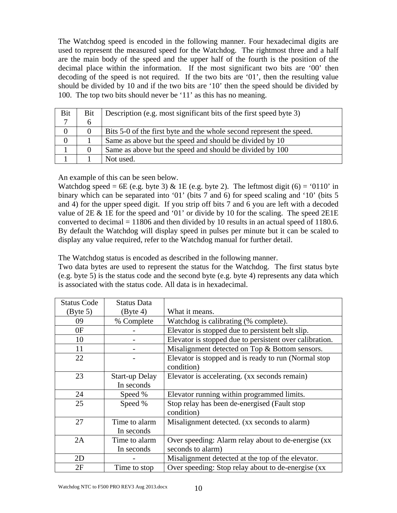The Watchdog speed is encoded in the following manner. Four hexadecimal digits are used to represent the measured speed for the Watchdog. The rightmost three and a half are the main body of the speed and the upper half of the fourth is the position of the decimal place within the information. If the most significant two bits are '00' then decoding of the speed is not required. If the two bits are '01', then the resulting value should be divided by 10 and if the two bits are '10' then the speed should be divided by 100. The top two bits should never be '11' as this has no meaning.

| Bit | Bit      | Description (e.g. most significant bits of the first speed byte 3)   |
|-----|----------|----------------------------------------------------------------------|
|     | h        |                                                                      |
|     | $\theta$ | Bits 5-0 of the first byte and the whole second represent the speed. |
|     |          | Same as above but the speed and should be divided by 10              |
|     |          | Same as above but the speed and should be divided by 100             |
|     |          | Not used.                                                            |

An example of this can be seen below.

Watchdog speed = 6E (e.g. byte 3) & 1E (e.g. byte 2). The leftmost digit (6) = '0110' in binary which can be separated into '01' (bits 7 and 6) for speed scaling and '10' (bits 5 and 4) for the upper speed digit. If you strip off bits 7 and 6 you are left with a decoded value of  $2E \& 1E$  for the speed and '01' or divide by 10 for the scaling. The speed  $2E1E$ converted to decimal  $= 11806$  and then divided by 10 results in an actual speed of 1180.6. By default the Watchdog will display speed in pulses per minute but it can be scaled to display any value required, refer to the Watchdog manual for further detail.

The Watchdog status is encoded as described in the following manner.

Two data bytes are used to represent the status for the Watchdog. The first status byte (e.g. byte 5) is the status code and the second byte (e.g. byte 4) represents any data which is associated with the status code. All data is in hexadecimal.

| <b>Status Code</b> | <b>Status Data</b>    |                                                         |
|--------------------|-----------------------|---------------------------------------------------------|
| (Byte 5)           | $(B$ yte 4)           | What it means.                                          |
| 09                 | % Complete            | Watchdog is calibrating (% complete).                   |
| 0F                 |                       | Elevator is stopped due to persistent belt slip.        |
| 10                 |                       | Elevator is stopped due to persistent over calibration. |
| 11                 |                       | Misalignment detected on Top & Bottom sensors.          |
| 22                 |                       | Elevator is stopped and is ready to run (Normal stop)   |
|                    |                       | condition)                                              |
| 23                 | <b>Start-up Delay</b> | Elevator is accelerating. (xx seconds remain)           |
|                    | In seconds            |                                                         |
| 24                 | Speed %               | Elevator running within programmed limits.              |
| 25                 | Speed %               | Stop relay has been de-energised (Fault stop            |
|                    |                       | condition)                                              |
| 27                 | Time to alarm         | Misalignment detected. (xx seconds to alarm)            |
|                    | In seconds            |                                                         |
| 2A                 | Time to alarm         | Over speeding: Alarm relay about to de-energise (xx     |
|                    | In seconds            | seconds to alarm)                                       |
| 2D                 |                       | Misalignment detected at the top of the elevator.       |
| 2F                 | Time to stop          | Over speeding: Stop relay about to de-energise (xx      |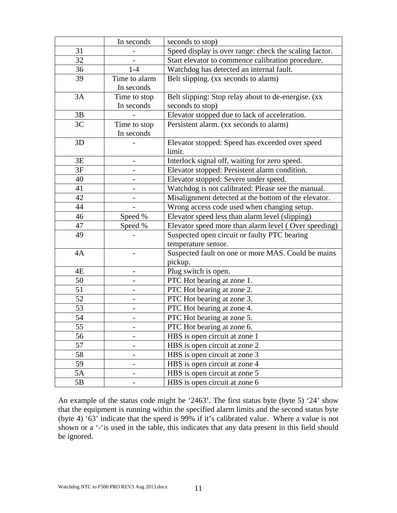|    | In seconds               | seconds to stop)                                       |
|----|--------------------------|--------------------------------------------------------|
| 31 |                          | Speed display is over range: check the scaling factor. |
| 32 |                          | Start elevator to commence calibration procedure.      |
| 36 | $1-4$                    | Watchdog has detected an internal fault.               |
| 39 | Time to alarm            | Belt slipping. (xx seconds to alarm)                   |
|    | In seconds               |                                                        |
| 3A | Time to stop             | Belt slipping: Stop relay about to de-energise. (xx    |
|    | In seconds               | seconds to stop)                                       |
| 3B |                          | Elevator stopped due to lack of acceleration.          |
| 3C | Time to stop             | Persistent alarm. (xx seconds to alarm)                |
|    | In seconds               |                                                        |
| 3D |                          | Elevator stopped: Speed has exceeded over speed        |
|    |                          | limit.                                                 |
| 3E | $\overline{\phantom{0}}$ | Interlock signal off, waiting for zero speed.          |
| 3F |                          | Elevator stopped: Persistent alarm condition.          |
| 40 |                          | Elevator stopped: Severe under speed.                  |
| 41 |                          | Watchdog is not calibrated: Please see the manual.     |
| 42 |                          | Misalignment detected at the bottom of the elevator.   |
| 44 |                          | Wrong access code used when changing setup.            |
| 46 | Speed %                  | Elevator speed less than alarm level (slipping)        |
| 47 | Speed %                  | Elevator speed more than alarm level (Over speeding)   |
| 49 |                          | Suspected open circuit or faulty PTC bearing           |
|    |                          | temperature sensor.                                    |
| 4A |                          | Suspected fault on one or more MAS. Could be mains     |
|    |                          | pickup.                                                |
| 4E |                          | Plug switch is open.                                   |
| 50 |                          | PTC Hot bearing at zone 1.                             |
| 51 |                          | PTC Hot bearing at zone 2.                             |
| 52 |                          | PTC Hot bearing at zone 3.                             |
| 53 |                          | PTC Hot bearing at zone 4.                             |
| 54 |                          | PTC Hot bearing at zone 5.                             |
| 55 |                          | PTC Hot bearing at zone 6.                             |
| 56 |                          | HBS is open circuit at zone 1                          |
| 57 |                          | HBS is open circuit at zone 2                          |
| 58 |                          | HBS is open circuit at zone 3                          |
| 59 |                          | HBS is open circuit at zone 4                          |
| 5A |                          | HBS is open circuit at zone 5                          |
| 5B |                          | HBS is open circuit at zone 6                          |

An example of the status code might be '2463'. The first status byte (byte 5) '24' show that the equipment is running within the specified alarm limits and the second status byte (byte 4) '63' indicate that the speed is 99% if it's calibrated value. Where a value is not shown or a '-'is used in the table, this indicates that any data present in this field should be ignored.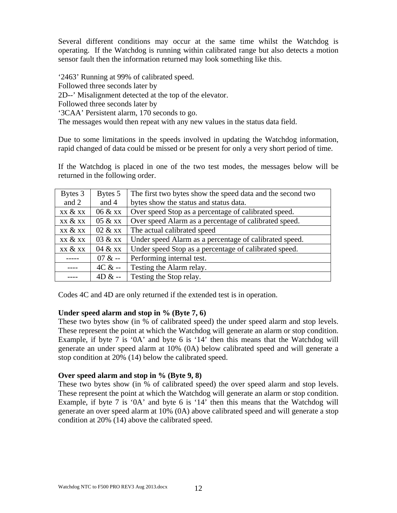Several different conditions may occur at the same time whilst the Watchdog is operating. If the Watchdog is running within calibrated range but also detects a motion sensor fault then the information returned may look something like this.

'2463' Running at 99% of calibrated speed. Followed three seconds later by 2D--' Misalignment detected at the top of the elevator. Followed three seconds later by '3CAA' Persistent alarm, 170 seconds to go. The messages would then repeat with any new values in the status data field.

Due to some limitations in the speeds involved in updating the Watchdog information, rapid changed of data could be missed or be present for only a very short period of time.

If the Watchdog is placed in one of the two test modes, the messages below will be returned in the following order.

| Bytes 3 | Bytes 5  | The first two bytes show the speed data and the second two |
|---------|----------|------------------------------------------------------------|
| and 2   | and 4    | bytes show the status and status data.                     |
| xx & xx | 06 & xx  | Over speed Stop as a percentage of calibrated speed.       |
| xx & xx | 05 & xx  | Over speed Alarm as a percentage of calibrated speed.      |
| xx & xx | 02 & xx  | The actual calibrated speed                                |
| xx & xx | 03 & xx  | Under speed Alarm as a percentage of calibrated speed.     |
| xx & xx | 04 & xx  | Under speed Stop as a percentage of calibrated speed.      |
|         | $07 & -$ | Performing internal test.                                  |
|         | $4C & -$ | Testing the Alarm relay.                                   |
|         | $4D & -$ | Testing the Stop relay.                                    |

Codes 4C and 4D are only returned if the extended test is in operation.

#### **Under speed alarm and stop in % (Byte 7, 6)**

These two bytes show (in % of calibrated speed) the under speed alarm and stop levels. These represent the point at which the Watchdog will generate an alarm or stop condition. Example, if byte 7 is '0A' and byte 6 is '14' then this means that the Watchdog will generate an under speed alarm at 10% (0A) below calibrated speed and will generate a stop condition at 20% (14) below the calibrated speed.

#### **Over speed alarm and stop in % (Byte 9, 8)**

These two bytes show (in % of calibrated speed) the over speed alarm and stop levels. These represent the point at which the Watchdog will generate an alarm or stop condition. Example, if byte 7 is '0A' and byte 6 is '14' then this means that the Watchdog will generate an over speed alarm at 10% (0A) above calibrated speed and will generate a stop condition at 20% (14) above the calibrated speed.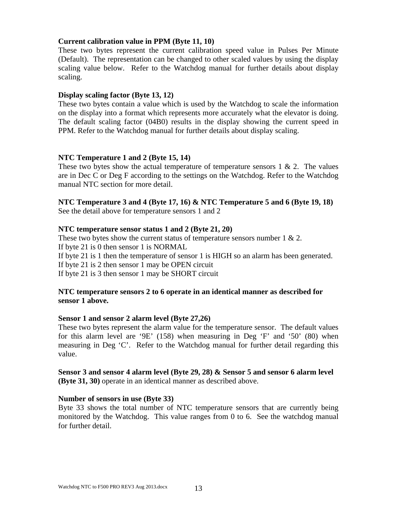#### **Current calibration value in PPM (Byte 11, 10)**

These two bytes represent the current calibration speed value in Pulses Per Minute (Default). The representation can be changed to other scaled values by using the display scaling value below. Refer to the Watchdog manual for further details about display scaling.

#### **Display scaling factor (Byte 13, 12)**

These two bytes contain a value which is used by the Watchdog to scale the information on the display into a format which represents more accurately what the elevator is doing. The default scaling factor (04B0) results in the display showing the current speed in PPM. Refer to the Watchdog manual for further details about display scaling.

#### **NTC Temperature 1 and 2 (Byte 15, 14)**

These two bytes show the actual temperature of temperature sensors  $1 \& 2$ . The values are in Dec C or Deg F according to the settings on the Watchdog. Refer to the Watchdog manual NTC section for more detail.

#### **NTC Temperature 3 and 4 (Byte 17, 16) & NTC Temperature 5 and 6 (Byte 19, 18)**  See the detail above for temperature sensors 1 and 2

#### **NTC temperature sensor status 1 and 2 (Byte 21, 20)**

These two bytes show the current status of temperature sensors number  $1 \& 2$ . If byte 21 is 0 then sensor 1 is NORMAL If byte 21 is 1 then the temperature of sensor 1 is HIGH so an alarm has been generated. If byte 21 is 2 then sensor 1 may be OPEN circuit If byte 21 is 3 then sensor 1 may be SHORT circuit

#### **NTC temperature sensors 2 to 6 operate in an identical manner as described for sensor 1 above.**

#### **Sensor 1 and sensor 2 alarm level (Byte 27,26)**

These two bytes represent the alarm value for the temperature sensor. The default values for this alarm level are '9E' (158) when measuring in Deg 'F' and '50' (80) when measuring in Deg 'C'. Refer to the Watchdog manual for further detail regarding this value.

#### **Sensor 3 and sensor 4 alarm level (Byte 29, 28) & Sensor 5 and sensor 6 alarm level (Byte 31, 30)** operate in an identical manner as described above.

#### **Number of sensors in use (Byte 33)**

Byte 33 shows the total number of NTC temperature sensors that are currently being monitored by the Watchdog. This value ranges from 0 to 6. See the watchdog manual for further detail.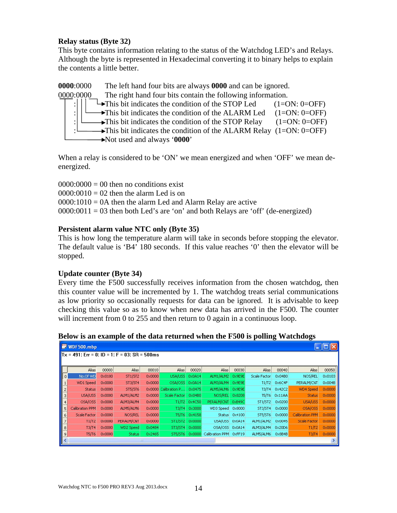#### **Relay status (Byte 32)**

This byte contains information relating to the status of the Watchdog LED's and Relays. Although the byte is represented in Hexadecimal converting it to binary helps to explain the contents a little better.

**0000**:0000 The left hand four bits are always **0000** and can be ignored. 0000:0000 The right hand four bits contain the following information. : $\left|\right| \left|\right|$   $\rightarrow$  This bit indicates the condition of the STOP Led (1=ON: 0=OFF) : $\left| \begin{array}{cc} \downarrow \end{array} \right|$   $\rightarrow$  This bit indicates the condition of the ALARM Led (1=ON: 0=OFF) :  $\Box$  This bit indicates the condition of the STOP Relay (1=ON: 0=OFF)  $\rightarrow$ This bit indicates the condition of the ALARM Relay (1=ON: 0=OFF) Not used and always '**0000**'

When a relay is considered to be 'ON' we mean energized and when 'OFF' we mean deenergized.

 $0000:0000 = 00$  then no conditions exist  $0000:0010 = 02$  then the alarm Led is on  $0000:1010 = 0A$  then the alarm Led and Alarm Relay are active  $0000:0011 = 03$  then both Led's are 'on' and both Relays are 'off' (de-energized)

#### **Persistent alarm value NTC only (Byte 35)**

This is how long the temperature alarm will take in seconds before stopping the elevator. The default value is 'B4' 180 seconds. If this value reaches '0' then the elevator will be stopped.

#### **Update counter (Byte 34)**

Every time the F500 successfully receives information from the chosen watchdog, then this counter value will be incremented by 1. The watchdog treats serial communications as low priority so occasionally requests for data can be ignored. It is advisable to keep checking this value so as to know when new data has arrived in the F500. The counter will increment from 0 to 255 and then return to 0 again in a continuous loop.

|        | ⋍<br>ີ<br>WDF500.mbp                             |                 |                |                 |                |                 |                        |                 |              |                 |                 |                 |
|--------|--------------------------------------------------|-----------------|----------------|-----------------|----------------|-----------------|------------------------|-----------------|--------------|-----------------|-----------------|-----------------|
|        | $Tx = 491$ : Err = 0: ID = 1: F = 03: SR = 500ms |                 |                |                 |                |                 |                        |                 |              |                 |                 |                 |
|        |                                                  |                 |                |                 |                |                 |                        |                 |              |                 |                 |                 |
|        | Alias                                            | 00000           | Alias          | 00010           | Alias          | 00020           | Alias                  | 00030           | Alias        | 00040           | Alias           | 00050           |
| II 0 I | No.Of WD                                         | 0x0100          | <b>ST1/ST2</b> | 0x0000          | USA/USS        | $0 \times 0A14$ | ALM1/ALM2              | 0x9E9E          | Scale Factor | 0x04B0          | NOS/REL         | $0 \times 0103$ |
|        | WD1 Speed                                        | $0 \times 0000$ | <b>ST3/ST4</b> | $0 \times 0000$ | OSA/OSS        | 0x0A14          | ALM3/ALM4              | $0 \times 9E9E$ |              | T1/T2 0x6C4F    | PERALM/CNT      | $0 \times 004B$ |
|        | <b>Status</b>                                    | $0 \times 0000$ | <b>ST5/ST6</b> | $0 \times 0000$ | Calibration P  | 0x0475          | ALM5/ALM6 0x9E9E       |                 |              | T3/T4 0x42C2    | WD4 Speed       | 0x0000          |
| 3      | USA/USS                                          | $0 \times 0000$ | ALM1/ALM2      | 0x0000          | Scale Factor   | 0x04B0          | NOS/REL 0x0208         |                 |              | T5/T6 0x11AA    | <b>Status</b>   | 0x0000          |
|        | OSA/OSS                                          | $0 \times 0000$ | ALM3/ALM4      | $0 \times 0000$ |                | T1/T2 0x4C50    | PERALM/CNT 0xB49C      |                 |              | ST1/ST2 0x0200  | USA/USS         | 0x0000          |
| 5      | Calibration PPM                                  | $0 \times 0000$ | ALM5/ALM6      | $0 \times 0000$ | T3/T4          | 0x3000          | WD3 Speed              | 0x0000          | ST3/ST4      | $0 \times 0000$ | OSA/OSS         | 0x0000          |
| 6      | Scale Factor                                     | 0x0000          | NOS/REL        | 0x0000          | <b>T5/T6</b>   | 0x4158          | Status                 | $0\times 4100$  | ST5/ST6      | 0x0000          | Calibration PPM | 0x0000          |
|        | T1/T2                                            | $0 \times 0000$ | PERALM/CNT     | $0 \times 0000$ | ST1/ST2        | 0x0000          | USA/USS                | 0x0A14          | ALM1/ALM2    | 0x0045          | Scale Factor    | 0x0000          |
| 8      | T3/T4                                            | 0x0000          | WD2 Speed      | 0x0484          | ST3/ST4        | $0 \times 0000$ | OSA/OSS                | 0x0A14          | ALM3/ALM4    | 0x20D6          | T1/T2           | 0x0000          |
| 9      | <b>T5/T6</b>                                     | $0 \times 0000$ | <b>Status</b>  | 0x2465          | <b>ST5/ST6</b> |                 | 0x0000 Calibration PPM | 0xFF19          | ALM5/ALM6    | $0 \times 8B4B$ | T3/T4           | 0x0000          |
|        |                                                  |                 |                |                 |                |                 |                        |                 |              |                 |                 |                 |

**Below is an example of the data returned when the F500 is polling Watchdogs**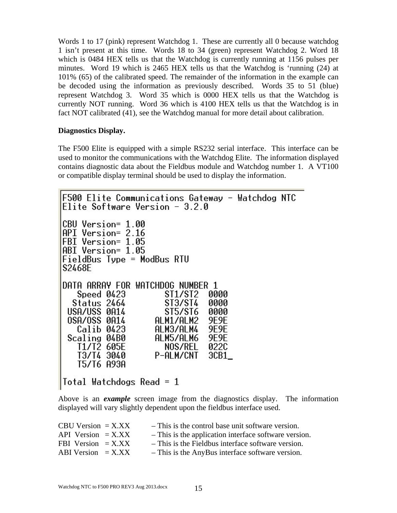Words 1 to 17 (pink) represent Watchdog 1. These are currently all 0 because watchdog 1 isn't present at this time. Words 18 to 34 (green) represent Watchdog 2. Word 18 which is 0484 HEX tells us that the Watchdog is currently running at 1156 pulses per minutes. Word 19 which is 2465 HEX tells us that the Watchdog is 'running (24) at 101% (65) of the calibrated speed. The remainder of the information in the example can be decoded using the information as previously described. Words 35 to 51 (blue) represent Watchdog 3. Word 35 which is 0000 HEX tells us that the Watchdog is currently NOT running. Word 36 which is 4100 HEX tells us that the Watchdog is in fact NOT calibrated (41), see the Watchdog manual for more detail about calibration.

#### **Diagnostics Display.**

The F500 Elite is equipped with a simple RS232 serial interface. This interface can be used to monitor the communications with the Watchdog Elite. The information displayed contains diagnostic data about the Fieldbus module and Watchdog number 1. A VT100 or compatible display terminal should be used to display the information.

```
F500 Elite Communications Gateway - Watchdog NTC
Elite Software Version - 3.2.0
CBU Version= 1.00
API Version= 2.16
FBI Version= 1.05
ABI Version= 1.05
FieldBus Type = ModBus RTU
S2468E
DATA ARRAY FOR WATCHDOG NUMBER 1
   Speed 0423
                      ST1/ST2
                               0000
  Status 2464
                      ST3/ST4
                               0000
 USA/USS 0A14
                      $15/$16
                               0000
 OSA/OSS 0A14
                   ALM1/ALM2
                               9E9E
   Calib 0423
                    ALM3/ALM4
                               9F9F
 Scaling 04B0
                    ALM5/ALM6
                               9E9E
   T1/T2 605E
                      NOS/REL
                               022C
   T3/T4 3040
                   P-ALM/CNT
                               3CB1_
   T5/T6 A93A
Total Watchdogs Read = 1
```
Above is an *example* screen image from the diagnostics display. The information displayed will vary slightly dependent upon the fieldbus interface used.

| - This is the control base unit software version.     |
|-------------------------------------------------------|
| - This is the application interface software version. |
| - This is the Fieldbus interface software version.    |
| - This is the AnyBus interface software version.      |
|                                                       |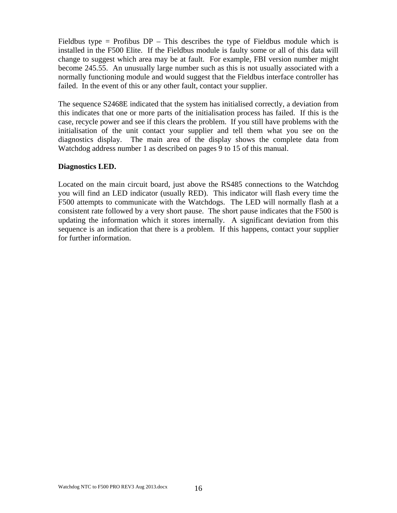Fieldbus type = Profibus  $DP - This$  describes the type of Fieldbus module which is installed in the F500 Elite. If the Fieldbus module is faulty some or all of this data will change to suggest which area may be at fault. For example, FBI version number might become 245.55. An unusually large number such as this is not usually associated with a normally functioning module and would suggest that the Fieldbus interface controller has failed. In the event of this or any other fault, contact your supplier.

The sequence S2468E indicated that the system has initialised correctly, a deviation from this indicates that one or more parts of the initialisation process has failed. If this is the case, recycle power and see if this clears the problem. If you still have problems with the initialisation of the unit contact your supplier and tell them what you see on the diagnostics display. The main area of the display shows the complete data from Watchdog address number 1 as described on pages 9 to 15 of this manual.

#### **Diagnostics LED.**

Located on the main circuit board, just above the RS485 connections to the Watchdog you will find an LED indicator (usually RED). This indicator will flash every time the F500 attempts to communicate with the Watchdogs. The LED will normally flash at a consistent rate followed by a very short pause. The short pause indicates that the F500 is updating the information which it stores internally. A significant deviation from this sequence is an indication that there is a problem. If this happens, contact your supplier for further information.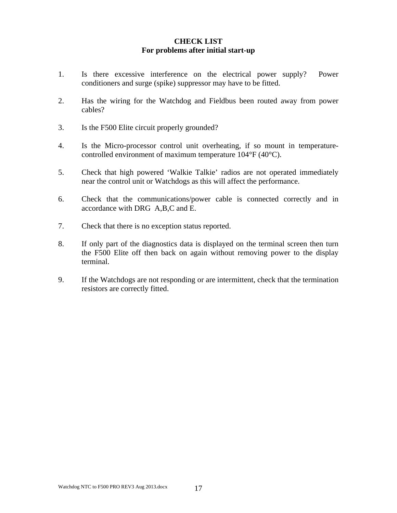#### **CHECK LIST For problems after initial start-up**

- 1. Is there excessive interference on the electrical power supply? Power conditioners and surge (spike) suppressor may have to be fitted.
- 2. Has the wiring for the Watchdog and Fieldbus been routed away from power cables?
- 3. Is the F500 Elite circuit properly grounded?
- 4. Is the Micro-processor control unit overheating, if so mount in temperaturecontrolled environment of maximum temperature 104°F (40°C).
- 5. Check that high powered 'Walkie Talkie' radios are not operated immediately near the control unit or Watchdogs as this will affect the performance.
- 6. Check that the communications/power cable is connected correctly and in accordance with DRG A,B,C and E.
- 7. Check that there is no exception status reported.
- 8. If only part of the diagnostics data is displayed on the terminal screen then turn the F500 Elite off then back on again without removing power to the display terminal.
- 9. If the Watchdogs are not responding or are intermittent, check that the termination resistors are correctly fitted.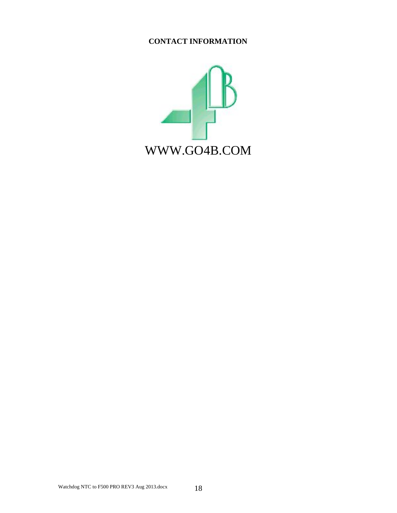### **CONTACT INFORMATION**

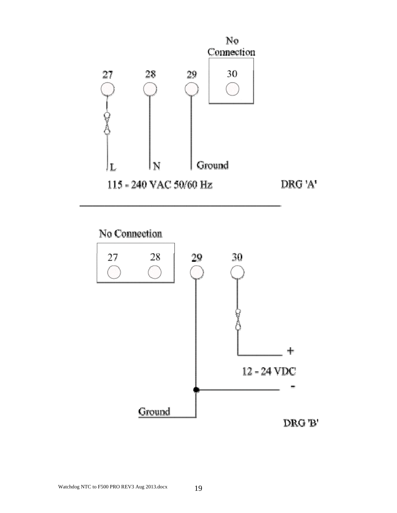

No Connection

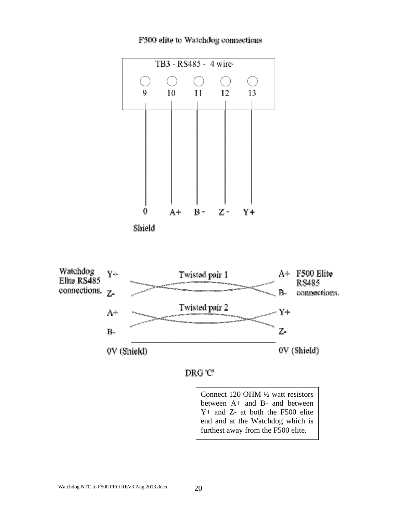

#### F500 elite to Watchdog connections





Connect 120 OHM ½ watt resistors between A+ and B- and between Y+ and Z- at both the F500 elite end and at the Watchdog which is furthest away from the F500 elite.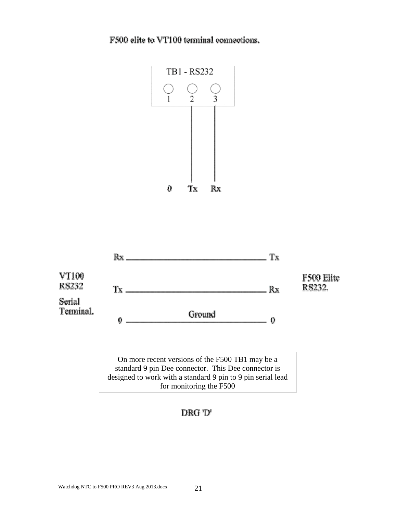F500 elite to VT100 terminal connections.





On more recent versions of the F500 TB1 may be a standard 9 pin Dee connector. This Dee connector is designed to work with a standard 9 pin to 9 pin serial lead for monitoring the F500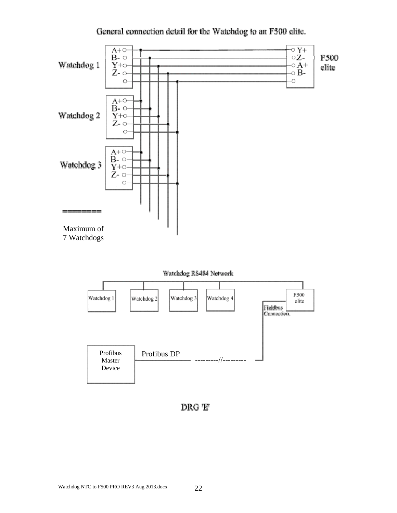



DRG 'E'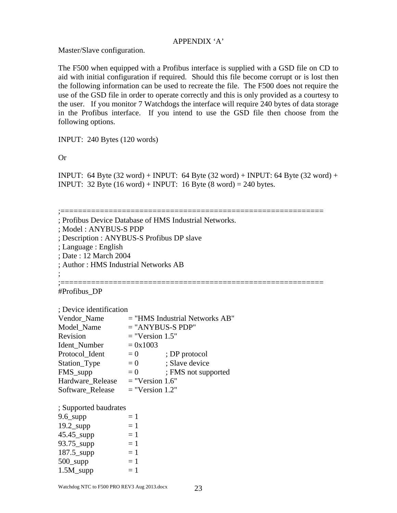#### APPENDIX 'A'

Master/Slave configuration.

The F500 when equipped with a Profibus interface is supplied with a GSD file on CD to aid with initial configuration if required. Should this file become corrupt or is lost then the following information can be used to recreate the file. The F500 does not require the use of the GSD file in order to operate correctly and this is only provided as a courtesy to the user. If you monitor 7 Watchdogs the interface will require 240 bytes of data storage in the Profibus interface. If you intend to use the GSD file then choose from the following options.

INPUT: 240 Bytes (120 words)

Or

INPUT: 64 Byte (32 word) + INPUT: 64 Byte (32 word) + INPUT: 64 Byte (32 word) + INPUT:  $32$  Byte (16 word) + INPUT: 16 Byte (8 word) = 240 bytes.

;============================================================ ; Profibus Device Database of HMS Industrial Networks. ; Model : ANYBUS-S PDP ; Description : ANYBUS-S Profibus DP slave ; Language : English ; Date : 12 March 2004 ; Author : HMS Industrial Networks AB ; ;============================================================ #Profibus\_DP ; Device identification Vendor Name  $=$  "HMS Industrial Networks AB"  $Model$  Name  $=$  "ANYBUS-S PDP" Revision  $=$  "Version 1.5" Ident Number  $= 0x1003$ Protocol Ident  $= 0$  ; DP protocol  $Station_{Type} = 0$  ; Slave device FMS supp  $= 0$  ; FMS not supported Hardware Release  $=$  "Version 1.6" Software Release  $=$  "Version 1.2" ; Supported baudrates 9.6 supp  $= 1$  $19.2$ \_supp  $= 1$  $45.45$ \_supp  $= 1$  $93.75$ \_supp  $= 1$  $187.5$ \_supp  $= 1$ 500 supp  $= 1$  $1.5M$ \_supp  $= 1$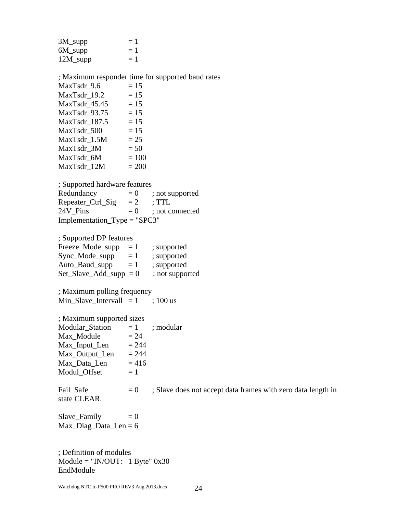| 3M_supp     | $=1$ |
|-------------|------|
| 6M_supp     | $=1$ |
| $12M$ _supp | $=1$ |

; Maximum responder time for supported baud rates MaxTsdr  $9.6 = 15$  $MaxTsdr_19.2$  = 15 MaxTsdr  $45.45 = 15$  $MaxTsdr_93.75 = 15$ MaxTsdr  $187.5 = 15$  $MaxTsdr_500 = 15$  $MaxTsdr_1.5M$  = 25  $MaxTsdr_3M$  = 50  $MaxTsdr_6M = 100$  $MaxTsdr_12M$  = 200

; Supported hardware features Redundancy  $= 0$  ; not supported Repeater\_Ctrl\_Sig  $= 2$  ; TTL 24V Pins  $= 0$  ; not connected Implementation\_Type = "SPC3"

; Supported DP features

| $=1$                        | ; supported     |
|-----------------------------|-----------------|
| $=1$                        | ; supported     |
| $=1$                        | ; supported     |
| $Set\_Slave\_Add\_supp = 0$ | ; not supported |
|                             |                 |

; Maximum polling frequency Min\_Slave\_Intervall  $= 1$  ; 100 us

| ; Maximum supported sizes |         |           |
|---------------------------|---------|-----------|
| Modular_Station           | $=1$    | ; modular |
| Max_Module                | $= 24$  |           |
| Max_Input_Len             | $= 244$ |           |
| Max_Output_Len            | $= 244$ |           |
| Max Data Len              | $= 416$ |           |
| Modul Offset              | $=1$    |           |

state CLEAR.

Fail\_Safe  $= 0$  ; Slave does not accept data frames with zero data length in

 $Slave_Family = 0$ Max\_Diag\_Data\_Len =  $6$ 

; Definition of modules  $Module = "IN/OUT: 1 byte" 0x30$ EndModule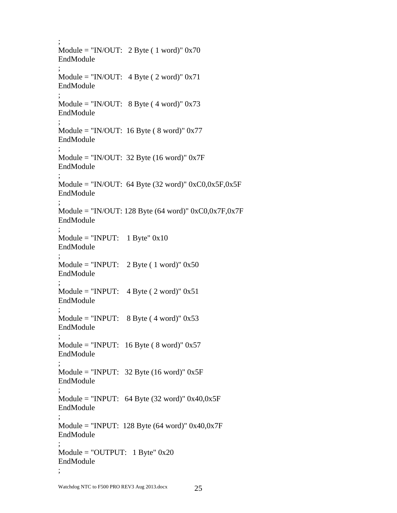```
; 
Module = "IN/OUT: 2 Byte ( 1 word)" 0x70 
EndModule 
; 
Module = "IN/OUT: 4 \text{ Byte} ( 2 word)" 0x71
EndModule 
; 
Module = "IN/OUT: 8 \text{ Byte} (4 word)" 0x73
EndModule 
; 
Module = "IN/OUT: 16 Byte (8 word)" 0x77
EndModule 
; 
Module = "IN/OUT: 32 Byte (16 word)" 0x7F
EndModule 
; 
Module = "IN/OUT: 64 Byte (32 word)" 0xC0,0x5F,0x5FEndModule 
; 
Module = "IN/OUT: 128 Byte (64 word)" 0xC0,0x7F,0x7FEndModule 
; 
Module = "INPUT: 1 byte" 0x10EndModule 
; 
Module = "INPUT: 2 \text{ Byte} ( 1 word)" 0x50
EndModule 
; 
Module = "INPUT: 4 \text{ Byte} ( 2 word)" 0x51
EndModule 
; 
Module = "INPUT: 8 \text{ Byte} (4 word)" 0x53
EndModule 
; 
Module = "INPUT: 16 Byte (8 word)" 0x57
EndModule 
; 
Module = "INPUT: 32 Byte (16 word)" 0x5F
EndModule 
; 
Module = "INPUT: 64 Byte (32 \text{ word})" 0x40,0x5F
EndModule 
; 
Module = "INPUT: 128 Byte (64 word)" 0x40,0x7F
EndModule 
; 
Module = "OUTPUT: 1 \text{ Byte}" 0x20
EndModule 
;
```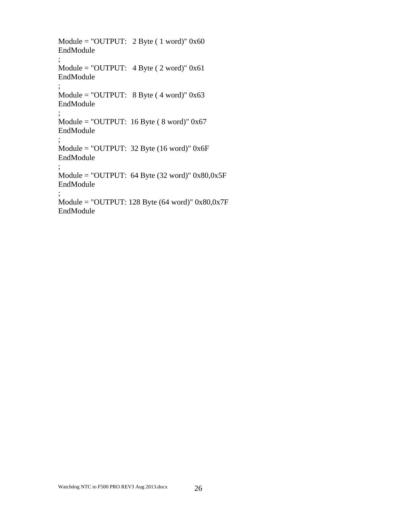```
Module = "OUTPUT: 2 \text{ Byte} (1 \text{ word})" 0x60
EndModule 
; 
Module = "OUTPUT: 4 Byte ( 2 word)" 0x61 
EndModule 
; 
Module = "OUTPUT: 8 Byte ( 4 word)" 0x63 
EndModule 
; 
Module = "OUTPUT: 16 Byte (8 word)" 0x67
EndModule 
; 
Module = "OUTPUT: 32 Byte (16 word)" 0x6F 
EndModule 
; 
Module = "OUTPUT: 64 Byte (32 word)" 0x80,0x5F
EndModule 
; 
Module = "OUTPUT: 128 Byte (64 word)" 0x80,0x7F 
EndModule
```